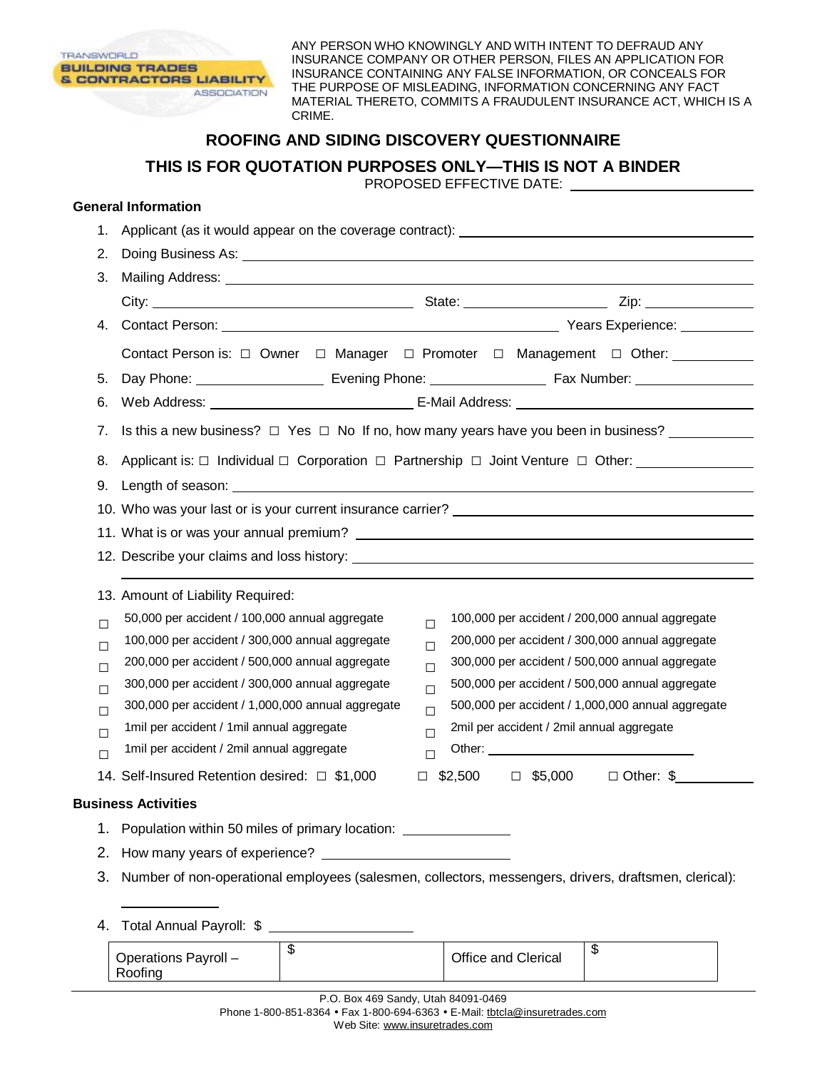

ANY PERSON WHO KNOWINGLY AND WITH INTENT TO DEFRAUD ANY INSURANCE COMPANY OR OTHER PERSON, FILES AN APPLICATION FOR INSURANCE CONTAINING ANY FALSE INFORMATION, OR CONCEALS FOR THE PURPOSE OF MISLEADING, INFORMATION CONCERNING ANY FACT MATERIAL THERETO, COMMITS A FRAUDULENT INSURANCE ACT, WHICH IS A CRIME.

## **ROOFING AND SIDING DISCOVERY QUESTIONNAIRE**

**THIS IS FOR QUOTATION PURPOSES ONLY—THIS IS NOT A BINDER** 

PROPOSED EFFECTIVE DATE:

## **General Information**

Roofing

| 1.                                   |                                                                                                                                                                                                                                                                                                                                                                                                                                                                                             |  |  |  |  |
|--------------------------------------|---------------------------------------------------------------------------------------------------------------------------------------------------------------------------------------------------------------------------------------------------------------------------------------------------------------------------------------------------------------------------------------------------------------------------------------------------------------------------------------------|--|--|--|--|
| 2.                                   |                                                                                                                                                                                                                                                                                                                                                                                                                                                                                             |  |  |  |  |
| 3.                                   |                                                                                                                                                                                                                                                                                                                                                                                                                                                                                             |  |  |  |  |
|                                      |                                                                                                                                                                                                                                                                                                                                                                                                                                                                                             |  |  |  |  |
| 4.                                   |                                                                                                                                                                                                                                                                                                                                                                                                                                                                                             |  |  |  |  |
|                                      | Contact Person is: □ Owner □ Manager □ Promoter □ Management □ Other: _________                                                                                                                                                                                                                                                                                                                                                                                                             |  |  |  |  |
| 5.                                   |                                                                                                                                                                                                                                                                                                                                                                                                                                                                                             |  |  |  |  |
| 6.                                   |                                                                                                                                                                                                                                                                                                                                                                                                                                                                                             |  |  |  |  |
| 7.                                   | Is this a new business? $\Box$ Yes $\Box$ No If no, how many years have you been in business?                                                                                                                                                                                                                                                                                                                                                                                               |  |  |  |  |
|                                      | 8. Applicant is: □ Individual □ Corporation □ Partnership □ Joint Venture □ Other: _______________                                                                                                                                                                                                                                                                                                                                                                                          |  |  |  |  |
|                                      |                                                                                                                                                                                                                                                                                                                                                                                                                                                                                             |  |  |  |  |
|                                      | 10. Who was your last or is your current insurance carrier? _____________________                                                                                                                                                                                                                                                                                                                                                                                                           |  |  |  |  |
|                                      |                                                                                                                                                                                                                                                                                                                                                                                                                                                                                             |  |  |  |  |
|                                      |                                                                                                                                                                                                                                                                                                                                                                                                                                                                                             |  |  |  |  |
| $\Box$<br>$\Box$<br>$\Box$<br>$\Box$ | 13. Amount of Liability Required:<br>50,000 per accident / 100,000 annual aggregate<br>100,000 per accident / 200,000 annual aggregate<br>$\Box$<br>100,000 per accident / 300,000 annual aggregate<br>200,000 per accident / 300,000 annual aggregate<br>П<br>200,000 per accident / 500,000 annual aggregate<br>300,000 per accident / 500,000 annual aggregate<br>$\Box$<br>300,000 per accident / 300,000 annual aggregate<br>500,000 per accident / 500,000 annual aggregate<br>$\Box$ |  |  |  |  |
| $\Box$                               | 300,000 per accident / 1,000,000 annual aggregate<br>500,000 per accident / 1,000,000 annual aggregate<br>П                                                                                                                                                                                                                                                                                                                                                                                 |  |  |  |  |
| $\Box$                               | 2mil per accident / 2mil annual aggregate<br>1mil per accident / 1mil annual aggregate<br>П<br>1mil per accident / 2mil annual aggregate<br>Other: <u>with the contract of the contract of the contract of the contract of the contract of the contract of the contract of the contract of the contract of the contract of the contract of the contract of the contract of t</u>                                                                                                            |  |  |  |  |
| $\Box$                               | $\Box$<br>$\Box$ Other: \$<br>14. Self-Insured Retention desired: □ \$1,000<br>$$2,500$ $$\square$5,000$<br>□                                                                                                                                                                                                                                                                                                                                                                               |  |  |  |  |
|                                      | <b>Business Activities</b>                                                                                                                                                                                                                                                                                                                                                                                                                                                                  |  |  |  |  |
|                                      |                                                                                                                                                                                                                                                                                                                                                                                                                                                                                             |  |  |  |  |
|                                      | Population within 50 miles of primary location: ________________________________                                                                                                                                                                                                                                                                                                                                                                                                            |  |  |  |  |
| 2.                                   | Number of non-operational employees (salesmen, collectors, messengers, drivers, draftsmen, clerical):                                                                                                                                                                                                                                                                                                                                                                                       |  |  |  |  |
| 3.                                   |                                                                                                                                                                                                                                                                                                                                                                                                                                                                                             |  |  |  |  |
| 4.                                   | Total Annual Payroll: \$ _____________________                                                                                                                                                                                                                                                                                                                                                                                                                                              |  |  |  |  |
|                                      | \$<br>\$<br>Operations Payroll -<br>Office and Clerical                                                                                                                                                                                                                                                                                                                                                                                                                                     |  |  |  |  |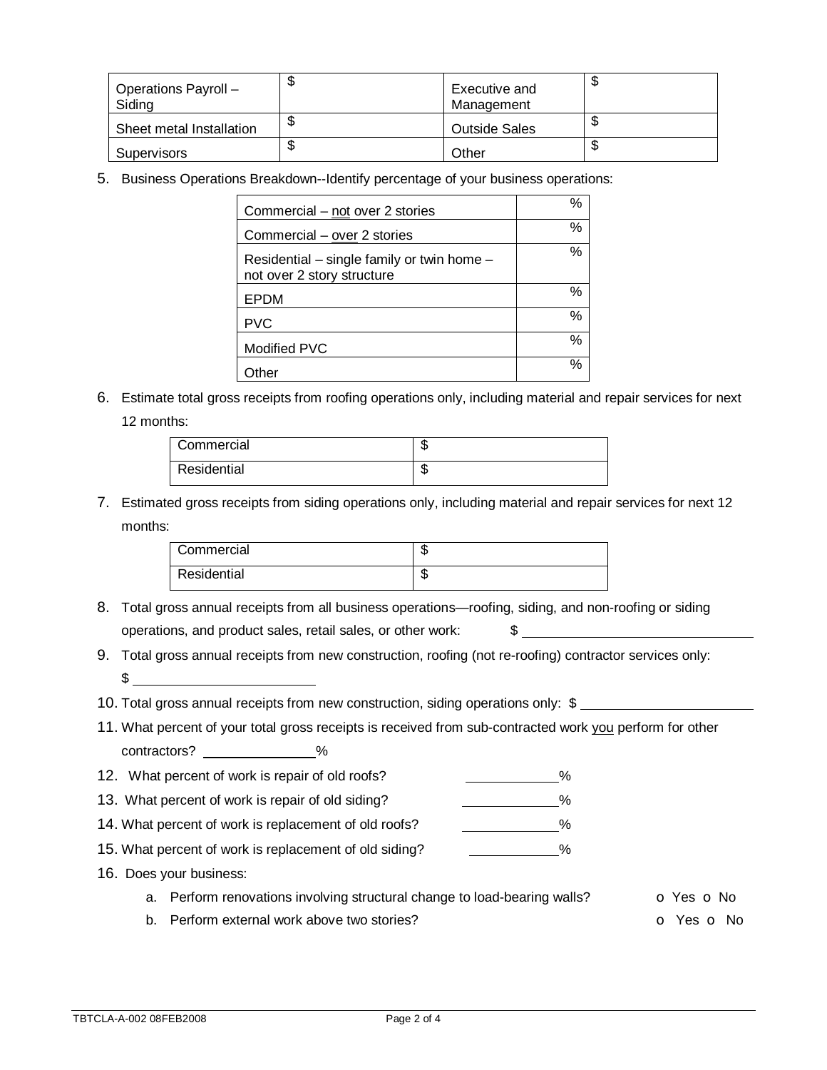| Operations Payroll -<br>Siding | Φ      | Executive and<br>Management | D |
|--------------------------------|--------|-----------------------------|---|
| Sheet metal Installation       | \$     | <b>Outside Sales</b>        | D |
| <b>Supervisors</b>             | ጦ<br>Φ | Other                       | ง |

5. Business Operations Breakdown--Identify percentage of your business operations:

| Commercial – not over 2 stories                                          | % |
|--------------------------------------------------------------------------|---|
| Commercial - over 2 stories                                              | % |
| Residential – single family or twin home –<br>not over 2 story structure | % |
| EPDM                                                                     | % |
| <b>PVC</b>                                                               | % |
| Modified PVC                                                             | % |
| ther                                                                     | % |

6. Estimate total gross receipts from roofing operations only, including material and repair services for next 12 months:

| Commercial  | ٨IJ |
|-------------|-----|
| Residential | ۰D  |

7. Estimated gross receipts from siding operations only, including material and repair services for next 12 months:

| Commercial  | æ<br>٨D |
|-------------|---------|
| Residential | æ<br>٨D |

- 8. Total gross annual receipts from all business operations—roofing, siding, and non-roofing or siding operations, and product sales, retail sales, or other work: \$
- 9. Total gross annual receipts from new construction, roofing (not re-roofing) contractor services only:  $\sim$
- 10. Total gross annual receipts from new construction, siding operations only: \$
- 11. What percent of your total gross receipts is received from sub-contracted work you perform for other contractors? \_\_\_\_\_\_\_\_\_\_\_\_\_\_%
- 12. What percent of work is repair of old roofs? 4. All the second terms of old roofs?
- 13. What percent of work is repair of old siding?  $\frac{1}{2}$  //
- 14. What percent of work is replacement of old roofs? \_\_\_\_\_\_\_\_\_\_\_\_\_%
- 15. What percent of work is replacement of old siding? \_\_\_\_\_\_\_\_\_\_\_\_\_\_%
- 16. Does your business:
	- a. Perform renovations involving structural change to load-bearing walls?  $\bullet$  Yes  $\bullet$  No
	- b. Perform external work above two stories? Change of the Contract of Yes of No.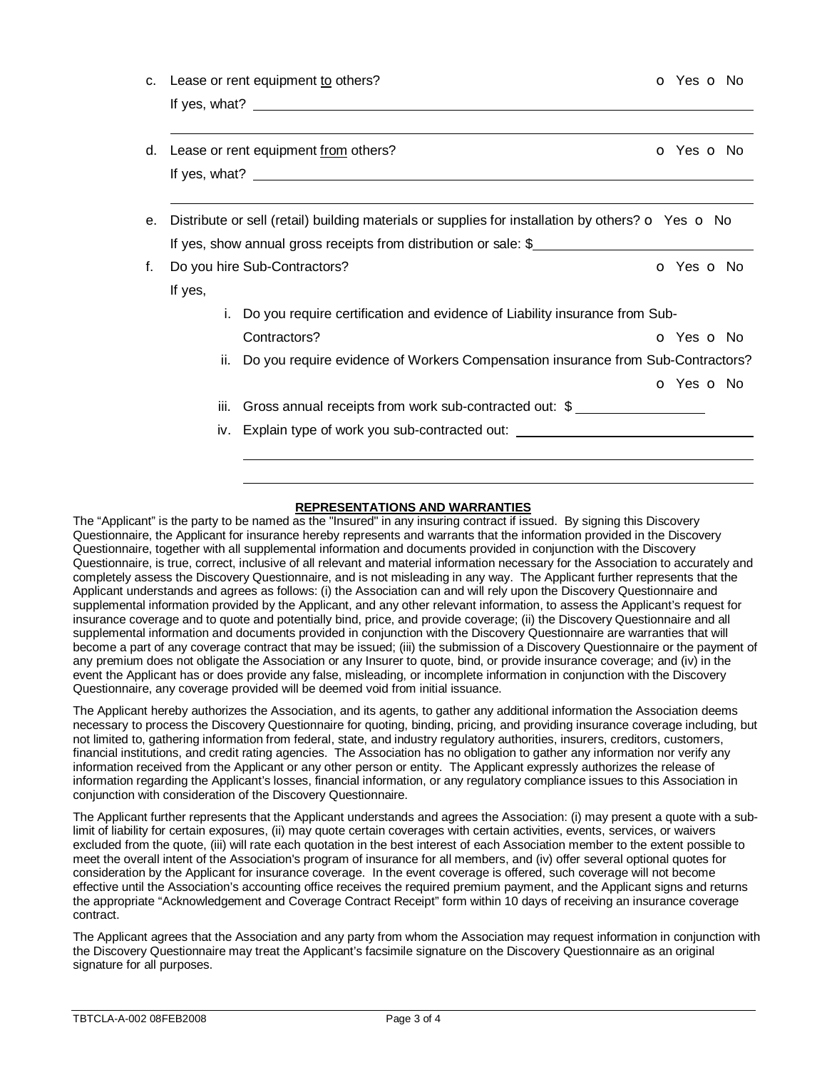|    |                                                                                                                   | Lease or rent equipment to others?                                                                                                                                                                                                | o Yes o No               |  |  |
|----|-------------------------------------------------------------------------------------------------------------------|-----------------------------------------------------------------------------------------------------------------------------------------------------------------------------------------------------------------------------------|--------------------------|--|--|
|    |                                                                                                                   | If yes, what? $\frac{1}{2}$ is the set of the set of the set of the set of the set of the set of the set of the set of the set of the set of the set of the set of the set of the set of the set of the set of the set of the set |                          |  |  |
| d. |                                                                                                                   | Lease or rent equipment from others?                                                                                                                                                                                              | o Yes o No               |  |  |
|    |                                                                                                                   |                                                                                                                                                                                                                                   |                          |  |  |
| е. | Distribute or sell (retail) building materials or supplies for installation by others? $\bullet$ Yes $\bullet$ No |                                                                                                                                                                                                                                   |                          |  |  |
|    | If yes, show annual gross receipts from distribution or sale: \$                                                  |                                                                                                                                                                                                                                   |                          |  |  |
| f. | Do you hire Sub-Contractors?                                                                                      |                                                                                                                                                                                                                                   | o Yes o No               |  |  |
|    | If yes,                                                                                                           |                                                                                                                                                                                                                                   |                          |  |  |
|    |                                                                                                                   | Do you require certification and evidence of Liability insurance from Sub-                                                                                                                                                        |                          |  |  |
|    |                                                                                                                   | Contractors?                                                                                                                                                                                                                      | <b>o</b> Yes <b>o</b> No |  |  |
|    | Do you require evidence of Workers Compensation insurance from Sub-Contractors?<br>ii.                            |                                                                                                                                                                                                                                   |                          |  |  |
|    |                                                                                                                   |                                                                                                                                                                                                                                   | O Yes O No               |  |  |
|    | iii.                                                                                                              | Gross annual receipts from work sub-contracted out: \$                                                                                                                                                                            |                          |  |  |
|    |                                                                                                                   | iv. Explain type of work you sub-contracted out: _______________________________                                                                                                                                                  |                          |  |  |

## **REPRESENTATIONS AND WARRANTIES**

The "Applicant" is the party to be named as the "Insured" in any insuring contract if issued. By signing this Discovery Questionnaire, the Applicant for insurance hereby represents and warrants that the information provided in the Discovery Questionnaire, together with all supplemental information and documents provided in conjunction with the Discovery Questionnaire, is true, correct, inclusive of all relevant and material information necessary for the Association to accurately and completely assess the Discovery Questionnaire, and is not misleading in any way. The Applicant further represents that the Applicant understands and agrees as follows: (i) the Association can and will rely upon the Discovery Questionnaire and supplemental information provided by the Applicant, and any other relevant information, to assess the Applicant's request for insurance coverage and to quote and potentially bind, price, and provide coverage; (ii) the Discovery Questionnaire and all supplemental information and documents provided in conjunction with the Discovery Questionnaire are warranties that will become a part of any coverage contract that may be issued; (iii) the submission of a Discovery Questionnaire or the payment of any premium does not obligate the Association or any Insurer to quote, bind, or provide insurance coverage; and (iv) in the event the Applicant has or does provide any false, misleading, or incomplete information in conjunction with the Discovery Questionnaire, any coverage provided will be deemed void from initial issuance.

The Applicant hereby authorizes the Association, and its agents, to gather any additional information the Association deems necessary to process the Discovery Questionnaire for quoting, binding, pricing, and providing insurance coverage including, but not limited to, gathering information from federal, state, and industry regulatory authorities, insurers, creditors, customers, financial institutions, and credit rating agencies. The Association has no obligation to gather any information nor verify any information received from the Applicant or any other person or entity. The Applicant expressly authorizes the release of information regarding the Applicant's losses, financial information, or any regulatory compliance issues to this Association in conjunction with consideration of the Discovery Questionnaire.

The Applicant further represents that the Applicant understands and agrees the Association: (i) may present a quote with a sublimit of liability for certain exposures, (ii) may quote certain coverages with certain activities, events, services, or waivers excluded from the quote, (iii) will rate each quotation in the best interest of each Association member to the extent possible to meet the overall intent of the Association's program of insurance for all members, and (iv) offer several optional quotes for consideration by the Applicant for insurance coverage. In the event coverage is offered, such coverage will not become effective until the Association's accounting office receives the required premium payment, and the Applicant signs and returns the appropriate "Acknowledgement and Coverage Contract Receipt" form within 10 days of receiving an insurance coverage contract.

The Applicant agrees that the Association and any party from whom the Association may request information in conjunction with the Discovery Questionnaire may treat the Applicant's facsimile signature on the Discovery Questionnaire as an original signature for all purposes.